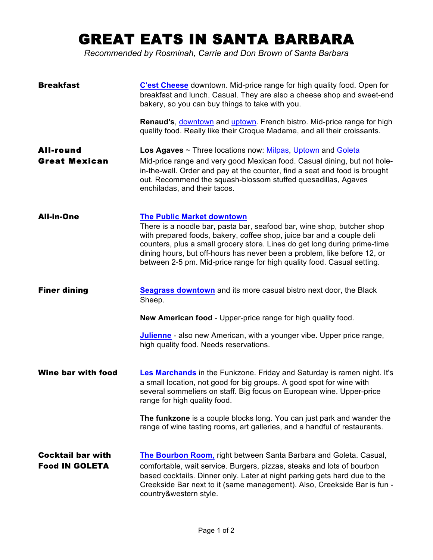## GREAT EATS IN SANTA BARBARA

*Recommended by Rosminah, Carrie and Don Brown of Santa Barbara*

| <b>Breakfast</b>                                  | C'est Cheese downtown. Mid-price range for high quality food. Open for<br>breakfast and lunch. Casual. They are also a cheese shop and sweet-end<br>bakery, so you can buy things to take with you.                                                                                                                                                                                                                     |
|---------------------------------------------------|-------------------------------------------------------------------------------------------------------------------------------------------------------------------------------------------------------------------------------------------------------------------------------------------------------------------------------------------------------------------------------------------------------------------------|
|                                                   | Renaud's, downtown and uptown. French bistro. Mid-price range for high<br>quality food. Really like their Croque Madame, and all their croissants.                                                                                                                                                                                                                                                                      |
| <b>All-round</b><br><b>Great Mexican</b>          | Los Agaves ~ Three locations now: Milpas, Uptown and Goleta<br>Mid-price range and very good Mexican food. Casual dining, but not hole-<br>in-the-wall. Order and pay at the counter, find a seat and food is brought<br>out. Recommend the squash-blossom stuffed quesadillas, Agaves<br>enchiladas, and their tacos.                                                                                                  |
| <b>All-in-One</b>                                 | <b>The Public Market downtown</b><br>There is a noodle bar, pasta bar, seafood bar, wine shop, butcher shop<br>with prepared foods, bakery, coffee shop, juice bar and a couple deli<br>counters, plus a small grocery store. Lines do get long during prime-time<br>dining hours, but off-hours has never been a problem, like before 12, or<br>between 2-5 pm. Mid-price range for high quality food. Casual setting. |
| <b>Finer dining</b>                               | <b>Seagrass downtown</b> and its more casual bistro next door, the Black<br>Sheep.                                                                                                                                                                                                                                                                                                                                      |
|                                                   | New American food - Upper-price range for high quality food.                                                                                                                                                                                                                                                                                                                                                            |
|                                                   | <b>Julienne</b> - also new American, with a younger vibe. Upper price range,<br>high quality food. Needs reservations.                                                                                                                                                                                                                                                                                                  |
| <b>Wine bar with food</b>                         | Les Marchands in the Funkzone. Friday and Saturday is ramen night. It's<br>a small location, not good for big groups. A good spot for wine with<br>several sommeliers on staff. Big focus on European wine. Upper-price<br>range for high quality food.                                                                                                                                                                 |
|                                                   | The funkzone is a couple blocks long. You can just park and wander the<br>range of wine tasting rooms, art galleries, and a handful of restaurants.                                                                                                                                                                                                                                                                     |
| <b>Cocktail bar with</b><br><b>Food IN GOLETA</b> | The Bourbon Room, right between Santa Barbara and Goleta. Casual,<br>comfortable, wait service. Burgers, pizzas, steaks and lots of bourbon<br>based cocktails. Dinner only. Later at night parking gets hard due to the<br>Creekside Bar next to it (same management). Also, Creekside Bar is fun -<br>country&western style.                                                                                          |